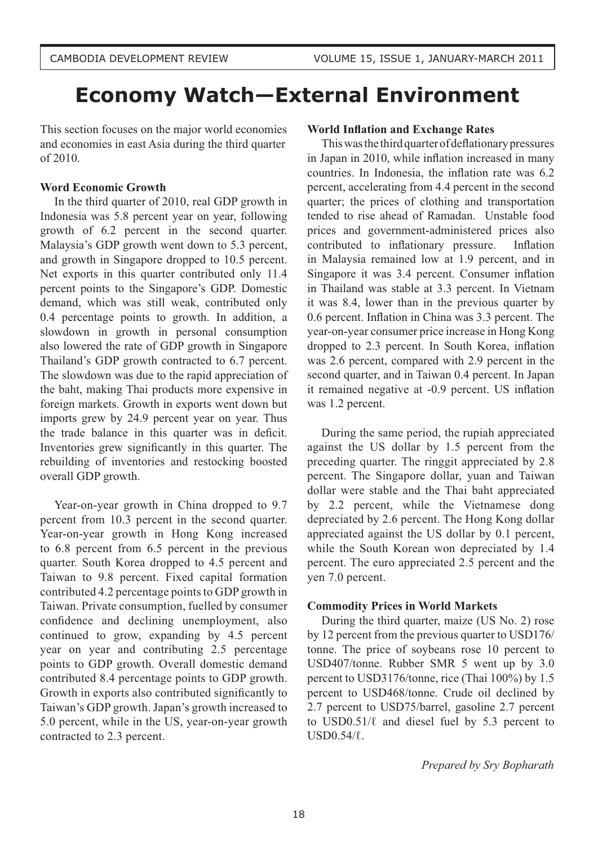# **Economy Watch—External Environment**

This section focuses on the major world economies and economies in east Asia during the third quarter of 2010.

# **Word Economic Growth**

In the third quarter of 2010, real GDP growth in Indonesia was 5.8 percent year on year, following growth of 6.2 percent in the second quarter. Malaysia's GDP growth went down to 5.3 percent, and growth in Singapore dropped to 10.5 percent. Net exports in this quarter contributed only 11.4 percent points to the Singapore's GDP. Domestic demand, which was still weak, contributed only 0.4 percentage points to growth. In addition, a slowdown in growth in personal consumption also lowered the rate of GDP growth in Singapore Thailand's GDP growth contracted to 6.7 percent. The slowdown was due to the rapid appreciation of the baht, making Thai products more expensive in foreign markets. Growth in exports went down but imports grew by 24.9 percent year on year. Thus the trade balance in this quarter was in deficit. Inventories grew significantly in this quarter. The rebuilding of inventories and restocking boosted overall GDP growth.

Year-on-year growth in China dropped to 9.7 percent from 10.3 percent in the second quarter. Year-on-year growth in Hong Kong increased to 6.8 percent from 6.5 percent in the previous quarter. South Korea dropped to 4.5 percent and Taiwan to 9.8 percent. Fixed capital formation contributed 4.2 percentage points to GDP growth in Taiwan. Private consumption, fuelled by consumer confidence and declining unemployment, also continued to grow, expanding by 4.5 percent year on year and contributing 2.5 percentage points to GDP growth. Overall domestic demand contributed 8.4 percentage points to GDP growth. Growth in exports also contributed significantly to Taiwan's GDP growth. Japan's growth increased to 5.0 percent, while in the US, year-on-year growth contracted to 2.3 percent.

# **World Inflation and Exchange Rates**

This was the third quarter of deflationary pressures in Japan in 2010, while inflation increased in many countries. In Indonesia, the inflation rate was 6.2 percent, accelerating from 4.4 percent in the second quarter; the prices of clothing and transportation tended to rise ahead of Ramadan. Unstable food prices and government-administered prices also contributed to inflationary pressure. Inflation in Malaysia remained low at 1.9 percent, and in Singapore it was 3.4 percent. Consumer inflation in Thailand was stable at 3.3 percent. In Vietnam it was 8.4, lower than in the previous quarter by  $0.6$  percent. Inflation in China was  $3.3$  percent. The year-on-year consumer price increase in Hong Kong dropped to 2.3 percent. In South Korea, inflation was 2.6 percent, compared with 2.9 percent in the second quarter, and in Taiwan 0.4 percent. In Japan it remained negative at -0.9 percent. US inflation was 1.2 percent.

During the same period, the rupiah appreciated against the US dollar by 1.5 percent from the preceding quarter. The ringgit appreciated by 2.8 percent. The Singapore dollar, yuan and Taiwan dollar were stable and the Thai baht appreciated by 2.2 percent, while the Vietnamese dong depreciated by 2.6 percent. The Hong Kong dollar appreciated against the US dollar by 0.1 percent, while the South Korean won depreciated by 1.4 percent. The euro appreciated 2.5 percent and the yen 7.0 percent.

### **Commodity Prices in World Markets**

During the third quarter, maize (US No. 2) rose by 12 percent from the previous quarter to USD176/ tonne. The price of soybeans rose 10 percent to USD407/tonne. Rubber SMR 5 went up by 3.0 percent to USD3176/tonne, rice (Thai 100%) by 1.5 percent to USD468/tonne. Crude oil declined by 2.7 percent to USD75/barrel, gasoline 2.7 percent to USD0.51/ $\ell$  and diesel fuel by 5.3 percent to  $USD0.54/\ell$ .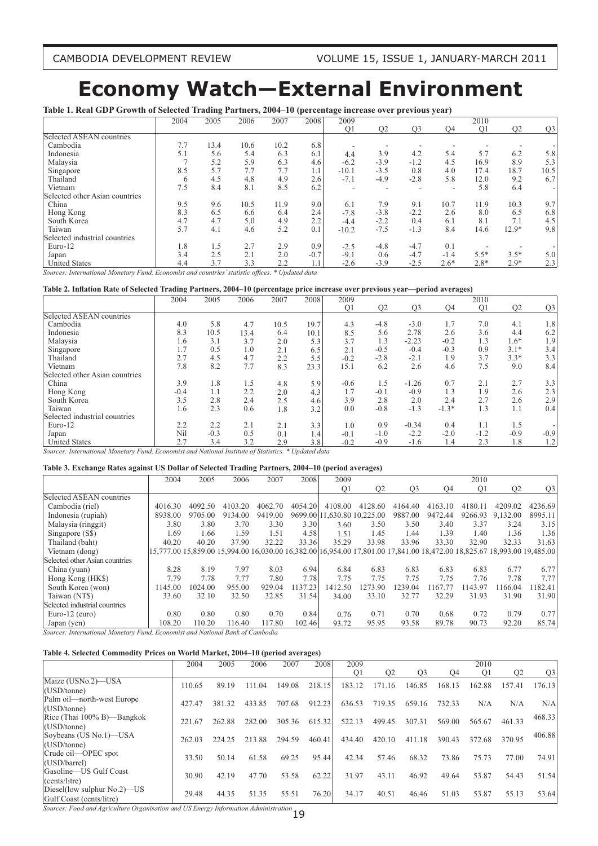# **Economy Watch—External Environment**

**Table 1. Real GDP Growth of Selected Trading Partners, 2004–10 (percentage increase over previous year)**

|                                | 2004 | 2005 | 2006 | 2007 | 2008   | 2009           |                |                |           | 2010           |                |                |
|--------------------------------|------|------|------|------|--------|----------------|----------------|----------------|-----------|----------------|----------------|----------------|
|                                |      |      |      |      |        | O <sub>1</sub> | Q <sub>2</sub> | Q <sub>3</sub> | <b>O4</b> | Q <sub>1</sub> | O <sub>2</sub> | Q <sub>3</sub> |
| Selected ASEAN countries       |      |      |      |      |        |                |                |                |           |                |                |                |
| Cambodia                       | 7.7  | 13.4 | 10.6 | 10.2 | 6.8    |                |                |                |           |                |                |                |
| Indonesia                      | 5.1  | 5.6  | 5.4  | 6.3  | 6.1    | 4.4            | 3.9            | 4.2            | 5.4       | 5.7            | 6.2            | 5.8            |
| Malaysia                       |      | 5.2  | 5.9  | 6.3  | 4.6    | $-6.2$         | $-3.9$         | $-1.2$         | 4.5       | 16.9           | 8.9            | 5.3            |
| Singapore                      | 8.5  | 5.7  | 7.7  | 7.7  | 1.1    | $-10.1$        | $-3.5$         | 0.8            | 4.0       | 17.4           | 18.7           | 10.5           |
| Thailand                       | 6    | 4.5  | 4.8  | 4.9  | 2.6    | $-7.1$         | $-4.9$         | $-2.8$         | 5.8       | 12.0           | 9.2            | 6.7            |
| Vietnam                        | 7.5  | 8.4  | 8.1  | 8.5  | 6.2    |                |                |                |           | 5.8            | 6.4            |                |
| Selected other Asian countries |      |      |      |      |        |                |                |                |           |                |                |                |
| China                          | 9.5  | 9.6  | 10.5 | 11.9 | 9.0    | 6.1            | 7.9            | 9.1            | 10.7      | 11.9           | 10.3           | 9.7            |
| Hong Kong                      | 8.3  | 6.5  | 6.6  | 6.4  | 2.4    | $-7.8$         | $-3.8$         | $-2.2$         | 2.6       | 8.0            | 6.5            | 6.8            |
| South Korea                    | 4.7  | 4.7  | 5.0  | 4.9  | 2.2    | $-4.4$         | $-2.2$         | 0.4            | 6.1       | 8.1            | 7.1            | 4.5            |
| Taiwan                         | 5.7  | 4.1  | 4.6  | 5.2  | 0.1    | $-10.2$        | $-7.5$         | $-1.3$         | 8.4       | 14.6           | $12.9*$        | 9.8            |
| Selected industrial countries  |      |      |      |      |        |                |                |                |           |                |                |                |
| Euro-12                        | 1.8  | 1.5  | 2.7  | 2.9  | 0.9    | $-2.5$         | $-4.8$         | $-4.7$         | 0.1       |                |                |                |
| Japan                          | 3.4  | 2.5  | 2.1  | 2.0  | $-0.7$ | $-9.1$         | 0.6            | $-4.7$         | $-1.4$    | $5.5*$         | $3.5*$         | 5.0            |
| <b>United States</b>           | 4.4  | 3.7  | 3.3  | 2.2  | 1.1    | $-2.6$         | $-3.9$         | $-2.5$         | $2.6*$    | $2.8*$         | $2.9*$         | 2.3            |

*Sources: International Monetary Fund, Economist and countries' statistic offices.* \* Updated data

#### Table 2. Inflation Rate of Selected Trading Partners, 2004-10 (percentage price increase over previous year-period averages)

|                                | 2004   | 2005   | 2006 | 2007 | 2008 | 2009           |                |                |         | 2010           |                |                |
|--------------------------------|--------|--------|------|------|------|----------------|----------------|----------------|---------|----------------|----------------|----------------|
|                                |        |        |      |      |      | O <sub>1</sub> | O <sub>2</sub> | O <sub>3</sub> | O4      | O <sub>1</sub> | O <sub>2</sub> | Q <sub>3</sub> |
| Selected ASEAN countries       |        |        |      |      |      |                |                |                |         |                |                |                |
| Cambodia                       | 4.0    | 5.8    | 4.7  | 10.5 | 19.7 | 4.3            | $-4.8$         | $-3.0$         | 1.7     | 7.0            | 4.1            | 1.8            |
| Indonesia                      | 8.3    | 10.5   | 13.4 | 6.4  | 10.1 | 8.5            | 5.6            | 2.78           | 2.6     | 3.6            | 4.4            | 6.2            |
| Malaysia                       | 1.6    | 3.1    | 3.7  | 2.0  | 5.3  | 3.7            | 1.3            | $-2.23$        | $-0.2$  | 1.3            | $1.6*$         | 1.9            |
| Singapore                      | 1.7    | 0.5    | 1.0  | 2.1  | 6.5  | 2.1            | $-0.5$         | $-0.4$         | $-0.3$  | 0.9            | $3.1*$         | 3.4            |
| Thailand                       | 2.7    | 4.5    | 4.7  | 2.2  | 5.5  | $-0.2$         | $-2.8$         | $-2.1$         | 1.9     | 3.7            | $3.3*$         | 3.3            |
| Vietnam                        | 7.8    | 8.2    | 7.7  | 8.3  | 23.3 | 15.1           | 6.2            | 2.6            | 4.6     | 7.5            | 9.0            | 8.4            |
| Selected other Asian countries |        |        |      |      |      |                |                |                |         |                |                |                |
| China                          | 3.9    | 1.8    | 1.5  | 4.8  | 5.9  | $-0.6$         | 1.5            | $-1.26$        | 0.7     | 2.1            | 2.7            | 3.3            |
| Hong Kong                      | $-0.4$ | 1.1    | 2.2  | 2.0  | 4.3  | 1.7            | $-0.1$         | $-0.9$         | 1.3     | 1.9            | 2.6            | 2.3            |
| South Korea                    | 3.5    | 2.8    | 2.4  | 2.5  | 4.6  | 3.9            | 2.8            | 2.0            | 2.4     | 2.7            | 2.6            | 2.9            |
| Taiwan                         | 1.6    | 2.3    | 0.6  | 1.8  | 3.2  | 0.0            | $-0.8$         | $-1.3$         | $-1.3*$ | 1.3            | 1.1            | 0.4            |
| Selected industrial countries  |        |        |      |      |      |                |                |                |         |                |                |                |
| Euro-12                        | 2.2    | 2.2    | 2.1  | 2.1  | 3.3  | 1.0            | 0.9            | $-0.34$        | 0.4     | 1.1            | 1.5            |                |
| Japan                          | Nil    | $-0.3$ | 0.5  | 0.1  | 1.4  | $-0.1$         | $-1.0$         | $-2.2$         | $-2.0$  | $-1.2$         | $-0.9$         | $-0.9$         |
| <b>United States</b>           | 2.7    | 3.4    | 3.2  | 2.9  | 3.8  | $-0.2$         | $-0.9$         | $-1.6$         | 1.4     | 2.3            | 1.8            | 1.2            |

Sources: International Monetary Fund, Economist and National Institute of Statistics. \* Updated data

#### **Table 3. Exchange Rates against US Dollar of Selected Trading Partners, 2004–10 (period averages)**

|                                                           | 2004                      | 2005    | 2006    | 2007    | 2008    | 2009           |                             |                |         | 2010           |                                                                                                                         |                |
|-----------------------------------------------------------|---------------------------|---------|---------|---------|---------|----------------|-----------------------------|----------------|---------|----------------|-------------------------------------------------------------------------------------------------------------------------|----------------|
|                                                           |                           |         |         |         |         | O <sub>1</sub> | O <sub>2</sub>              | O <sub>3</sub> | O4      | O <sub>1</sub> | O2                                                                                                                      | Q <sub>3</sub> |
| Selected ASEAN countries                                  |                           |         |         |         |         |                |                             |                |         |                |                                                                                                                         |                |
| Cambodia (riel)                                           | 4016.30                   | 4092.50 | 4103.20 | 4062.70 | 4054.20 | 4108.00        | 4128.60                     | 4164.40        | 4163.10 | 4180.11        | 4209.02                                                                                                                 | 4236.69        |
| Indonesia (rupiah)                                        | 8938.00                   | 9705.00 | 9134.00 | 9419.00 |         |                | 9699.00 11,630.80 10,225.00 | 9887.00        | 9472.44 | 9266.93        | 9.132.00                                                                                                                | 8995.11        |
| Malaysia (ringgit)                                        | 3.80                      | 3.80    | 3.70    | 3.30    | 3.30    | 3.60           | 3.50                        | 3.50           | 3.40    | 3.37           | 3.24                                                                                                                    | 3.15           |
| Singapore (S\$)                                           | 1.69                      | 1.66    | 1.59    | 1.51    | 4.58    | 1.51           | 1.45                        | 1.44           | 1.39    | 1.40           | 1.36                                                                                                                    | 1.36           |
| Thailand (baht)                                           | 40.20                     | 40.20   | 37.90   | 32.22   | 33.36   | 35.29          | 33.98                       | 33.96          | 33.30   | 32.90          | 32.33                                                                                                                   | 31.63          |
| Vietnam (dong)                                            |                           |         |         |         |         |                |                             |                |         |                | 15,777.00 15,859.00 15,994.00 16,030.00 16,382.00 16,954.00 17,801.00 17,841.00 18,472.00 18,825.67 18,993.00 19,485.00 |                |
| Selected other Asian countries                            |                           |         |         |         |         |                |                             |                |         |                |                                                                                                                         |                |
| China (yuan)                                              | 8.28                      | 8.19    | 7.97    | 8.03    | 6.94    | 6.84           | 6.83                        | 6.83           | 6.83    | 6.83           | 6.77                                                                                                                    | 6.77           |
| Hong Kong (HK\$)                                          | 7.79                      | 7.78    | 7.77    | 7.80    | 7.78    | 7.75           | 7.75                        | 7.75           | 7.75    | 7.76           | 7.78                                                                                                                    | 7.77           |
| South Korea (won)                                         | 1145.00                   | 1024.00 | 955.00  | 929.04  | 1137.23 | 1412.50        | 273.90                      | 1239.04        | 167.77  | 1143.97        | 166.04                                                                                                                  | 1182.41        |
| Taiwan (NT\$)                                             | 33.60                     | 32.10   | 32.50   | 32.85   | 31.54   | 34.00          | 33.10                       | 32.77          | 32.29   | 31.93          | 31.90                                                                                                                   | 31.90          |
| Selected industrial countries                             |                           |         |         |         |         |                |                             |                |         |                |                                                                                                                         |                |
| Euro-12 ( $euro$ )                                        | 0.80                      | 0.80    | 0.80    | 0.70    | 0.84    | 0.76           | 0.71                        | 0.70           | 0.68    | 0.72           | 0.79                                                                                                                    | 0.77           |
| Japan (yen)                                               | 108.20                    | 110.20  | 116.40  | 117.80  | 102.46  | 93.72          | 95.95                       | 93.58          | 89.78   | 90.73          | 92.20                                                                                                                   | 85.74          |
| $\mathbf{r}$ , $\mathbf{r}$ , $\mathbf{r}$ , $\mathbf{r}$ | $\mathbf{r}$ $\mathbf{r}$ | 7.3.7   | P I C C | $7 - 7$ |         |                |                             |                |         |                |                                                                                                                         |                |

*Sources: International Monetary Fund, Economist and National Bank of Cambodia*

#### **Table 4. Selected Commodity Prices on World Market, 2004–10 (period averages)**

|                                | 2004   | 2005   | 2006   | 2007   | 2008   | 2009           |                |                |        | 2010           |                       |                |
|--------------------------------|--------|--------|--------|--------|--------|----------------|----------------|----------------|--------|----------------|-----------------------|----------------|
|                                |        |        |        |        |        | O <sub>1</sub> | O <sub>2</sub> | O <sub>3</sub> | O4     | O <sub>1</sub> | O <sub>2</sub>        | Q <sub>3</sub> |
| Maize (USNo.2)-USA             | 110.65 | 89.19  | 111.04 | 149.08 | 218.15 | 12<br>183.     | 16             | 146.85         | 168    | 162.88         | 157<br>$\overline{4}$ | 176.13         |
| (USD/tonne)                    |        |        |        |        |        |                |                |                |        |                |                       |                |
| Palm oil—north-west Europe     | 427.47 | 381.32 | 433.85 | 707.68 | 912.23 | 636.53         | 719.35         | 659.16         | 732.33 | N/A            | N/A                   | N/A            |
| (USD/tonne)                    |        |        |        |        |        |                |                |                |        |                |                       |                |
| $Rice$ (Thai 100% B)—Bangkok   | 221.67 | 262.88 | 282.00 | 305.36 | 615.32 | 522.13         | 499.45         | 307.31         | 569.00 | 565.67         | 461.33                | 468.33         |
| (USD/tonne)                    |        |        |        |        |        |                |                |                |        |                |                       |                |
| Soybeans (US No.1)—USA         | 262.03 | 224.25 | 213.88 | 294.59 | 460.41 | 434.40         | 420.10         | 411.18         | 390.43 | 372.68         | 370.95                | 406.88         |
| (USD/tonne)                    |        |        |        |        |        |                |                |                |        |                |                       |                |
| Crude oil—OPEC spot            | 33.50  | 50.14  | 61.58  | 69.25  | 95.44  | 42.34          | 57.46          | 68.32          | 73.86  | 75.73          | 77.00                 | 74.91          |
| (USD/barrel)                   |        |        |        |        |        |                |                |                |        |                |                       |                |
| Gasoline—US Gulf Coast         | 30.90  | 42.19  | 47.70  | 53.58  | 62.22  | 31.97          | 43.11          | 46.92          | 49.64  | 53.87          | 54.43                 | 51.54          |
| (cents/litre)                  |        |        |        |        |        |                |                |                |        |                |                       |                |
| Diesel(low sulphur $No.2$ )—US | 29.48  | 44.35  | 51.35  | 55.51  | 76.20  | 34.17          | 40.51          | 46.46          | 51.03  | 53.87          | 55.13                 | 53.64          |
| Gulf Coast (cents/litre)       |        |        |        |        |        |                |                |                |        |                |                       |                |

 $Sources$ : Food and Agriculture Organisation and US Energy Information Administration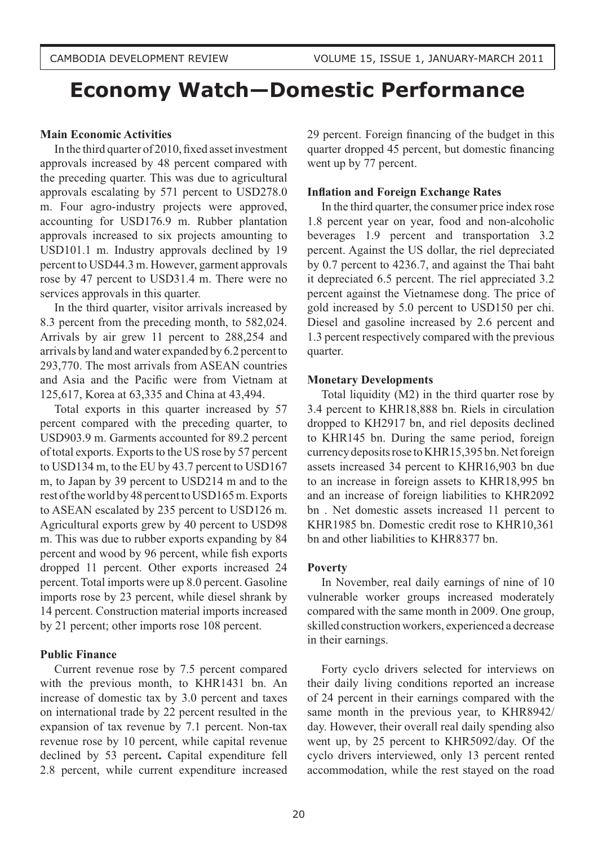# **Economy Watch—Domestic Performance**

### **Main Economic Activities**

In the third quarter of 2010, fixed asset investment approvals increased by 48 percent compared with the preceding quarter. This was due to agricultural approvals escalating by 571 percent to USD278.0 m. Four agro-industry projects were approved, accounting for USD176.9 m. Rubber plantation approvals increased to six projects amounting to USD101.1 m. Industry approvals declined by 19 percent to USD44.3 m. However, garment approvals rose by 47 percent to USD31.4 m. There were no services approvals in this quarter.

In the third quarter, visitor arrivals increased by 8.3 percent from the preceding month, to 582,024. Arrivals by air grew 11 percent to 288,254 and arrivals by land and water expanded by 6.2 percent to 293,770. The most arrivals from ASEAN countries and Asia and the Pacific were from Vietnam at 125,617, Korea at 63,335 and China at 43,494.

Total exports in this quarter increased by 57 percent compared with the preceding quarter, to USD903.9 m. Garments accounted for 89.2 percent of total exports. Exports to the US rose by 57 percent to USD134 m, to the EU by 43.7 percent to USD167 m, to Japan by 39 percent to USD214 m and to the rest of the world by 48 percent to USD165 m. Exports to ASEAN escalated by 235 percent to USD126 m. Agricultural exports grew by 40 percent to USD98 m. This was due to rubber exports expanding by 84 percent and wood by 96 percent, while fish exports dropped 11 percent. Other exports increased 24 percent. Total imports were up 8.0 percent. Gasoline imports rose by 23 percent, while diesel shrank by 14 percent. Construction material imports increased by 21 percent; other imports rose 108 percent.

# **Public Finance**

Current revenue rose by 7.5 percent compared with the previous month, to KHR1431 bn. An increase of domestic tax by 3.0 percent and taxes on international trade by 22 percent resulted in the expansion of tax revenue by 7.1 percent. Non-tax revenue rose by 10 percent, while capital revenue declined by 53 percent**.** Capital expenditure fell 2.8 percent, while current expenditure increased

29 percent. Foreign financing of the budget in this quarter dropped 45 percent, but domestic financing went up by 77 percent.

### **Inflation and Foreign Exchange Rates**

In the third quarter, the consumer price index rose 1.8 percent year on year, food and non-alcoholic beverages 1.9 percent and transportation 3.2 percent. Against the US dollar, the riel depreciated by 0.7 percent to 4236.7, and against the Thai baht it depreciated 6.5 percent. The riel appreciated 3.2 percent against the Vietnamese dong. The price of gold increased by 5.0 percent to USD150 per chi. Diesel and gasoline increased by 2.6 percent and 1.3 percent respectively compared with the previous quarter.

### **Monetary Developments**

Total liquidity (M2) in the third quarter rose by 3.4 percent to KHR18,888 bn. Riels in circulation dropped to KH2917 bn, and riel deposits declined to KHR145 bn. During the same period, foreign currency deposits rose to KHR15,395 bn. Net foreign assets increased 34 percent to KHR16,903 bn due to an increase in foreign assets to KHR18,995 bn and an increase of foreign liabilities to KHR2092 bn . Net domestic assets increased 11 percent to KHR1985 bn. Domestic credit rose to KHR10,361 bn and other liabilities to KHR8377 bn.

# **Poverty**

In November, real daily earnings of nine of 10 vulnerable worker groups increased moderately compared with the same month in 2009. One group, skilled construction workers, experienced a decrease in their earnings.

Forty cyclo drivers selected for interviews on their daily living conditions reported an increase of 24 percent in their earnings compared with the same month in the previous year, to KHR8942/ day. However, their overall real daily spending also went up, by 25 percent to KHR5092/day. Of the cyclo drivers interviewed, only 13 percent rented accommodation, while the rest stayed on the road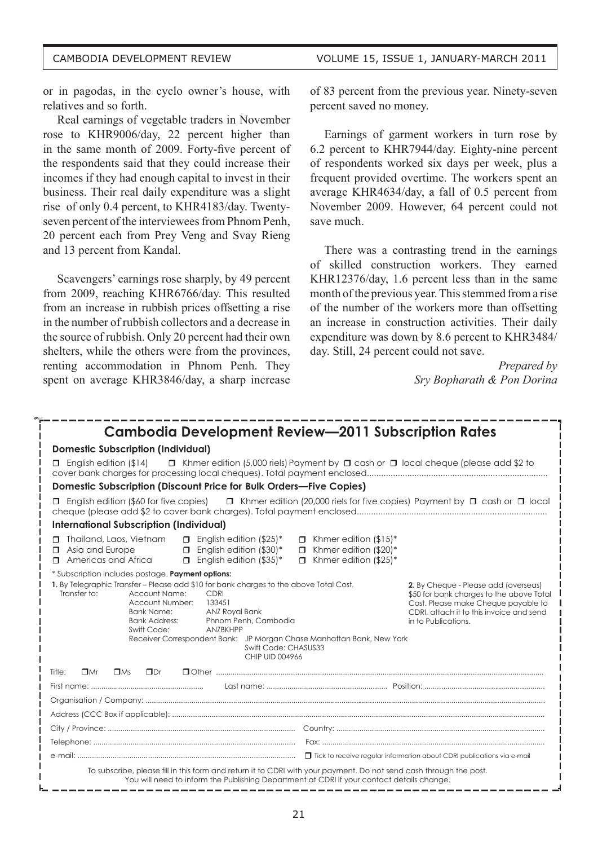or in pagodas, in the cyclo owner's house, with relatives and so forth.

Real earnings of vegetable traders in November rose to KHR9006/day, 22 percent higher than in the same month of 2009. Forty-five percent of the respondents said that they could increase their incomes if they had enough capital to invest in their business. Their real daily expenditure was a slight rise of only 0.4 percent, to KHR4183/day. Twentyseven percent of the interviewees from Phnom Penh, 20 percent each from Prey Veng and Svay Rieng and 13 percent from Kandal.

Scavengers' earnings rose sharply, by 49 percent from 2009, reaching KHR6766/day. This resulted from an increase in rubbish prices offsetting a rise in the number of rubbish collectors and a decrease in the source of rubbish. Only 20 percent had their own shelters, while the others were from the provinces, renting accommodation in Phnom Penh. They spent on average KHR3846/day, a sharp increase of 83 percent from the previous year. Ninety-seven percent saved no money.

Earnings of garment workers in turn rose by 6.2 percent to KHR7944/day. Eighty-nine percent of respondents worked six days per week, plus a frequent provided overtime. The workers spent an average KHR4634/day, a fall of 0.5 percent from November 2009. However, 64 percent could not save much.

There was a contrasting trend in the earnings of skilled construction workers. They earned KHR12376/day, 1.6 percent less than in the same month of the previous year. This stemmed from a rise of the number of the workers more than offsetting an increase in construction activities. Their daily expenditure was down by 8.6 percent to KHR3484/ day. Still, 24 percent could not save.

> *Prepared by Sry Bopharath & Pon Dorina*

| <b>Cambodia Development Review—2011 Subscription Rates</b>                                                                                                                                                                                                                                                                                                                                         |                                                                                                                                                                                            |
|----------------------------------------------------------------------------------------------------------------------------------------------------------------------------------------------------------------------------------------------------------------------------------------------------------------------------------------------------------------------------------------------------|--------------------------------------------------------------------------------------------------------------------------------------------------------------------------------------------|
| <b>Domestic Subscription (Individual)</b>                                                                                                                                                                                                                                                                                                                                                          |                                                                                                                                                                                            |
| $\Box$ Khmer edition (5,000 riels) Payment by $\Box$ cash or $\Box$ local cheque (please add \$2 to<br>$\Box$ English edition (\$14)                                                                                                                                                                                                                                                               |                                                                                                                                                                                            |
| Domestic Subscription (Discount Price for Bulk Orders-Five Copies)                                                                                                                                                                                                                                                                                                                                 |                                                                                                                                                                                            |
| English edition (\$60 for five copies) $\Box$ Khmer edition (20,000 riels for five copies) Payment by $\Box$ cash or $\Box$ local<br>$\Box$                                                                                                                                                                                                                                                        |                                                                                                                                                                                            |
| <b>International Subscription (Individual)</b>                                                                                                                                                                                                                                                                                                                                                     |                                                                                                                                                                                            |
| <b>T</b> Thailand, Laos, Vietnam<br>$\Box$ English edition (\$25)*<br>$\Box$ Khmer edition (\$15)*<br>$\Box$ English edition (\$30)*<br>$\Box$ Khmer edition (\$20)*<br>Asia and Europe<br>$\Box$<br>Americas and Africa<br>$\Box$ English edition (\$35)*<br>$\Box$ Khmer edition (\$25)*<br>п.                                                                                                   |                                                                                                                                                                                            |
| * Subscription includes postage. Payment options:                                                                                                                                                                                                                                                                                                                                                  |                                                                                                                                                                                            |
| 1. By Telegraphic Transfer – Please add \$10 for bank charges to the above Total Cost.<br>Transfer to:<br>Account Name:<br>CDRI<br>Account Number:<br>133451<br><b>Bank Name:</b><br>ANZ Royal Bank<br><b>Bank Address:</b><br>Phnom Penh, Cambodia<br>Swift Code:<br>ANZBKHPP<br>Receiver Correspondent Bank: JP Morgan Chase Manhattan Bank, New York<br>Swift Code: CHASUS33<br>CHIP UID 004966 | 2. By Cheque - Please add (overseas)<br>\$50 for bank charges to the above Total<br>Cost. Please make Cheque payable to<br>CDRI, attach it to this invoice and send<br>in to Publications. |
| $\square$ Mr<br>$\Box$ Ms<br>$\Box$ Dr<br>Title:                                                                                                                                                                                                                                                                                                                                                   |                                                                                                                                                                                            |
|                                                                                                                                                                                                                                                                                                                                                                                                    |                                                                                                                                                                                            |
|                                                                                                                                                                                                                                                                                                                                                                                                    |                                                                                                                                                                                            |
|                                                                                                                                                                                                                                                                                                                                                                                                    |                                                                                                                                                                                            |
|                                                                                                                                                                                                                                                                                                                                                                                                    |                                                                                                                                                                                            |
|                                                                                                                                                                                                                                                                                                                                                                                                    |                                                                                                                                                                                            |
|                                                                                                                                                                                                                                                                                                                                                                                                    |                                                                                                                                                                                            |
| To subscribe, please fill in this form and return it to CDRI with your payment. Do not send cash through the post.<br>You will need to inform the Publishing Department at CDRI if your contact details change.                                                                                                                                                                                    |                                                                                                                                                                                            |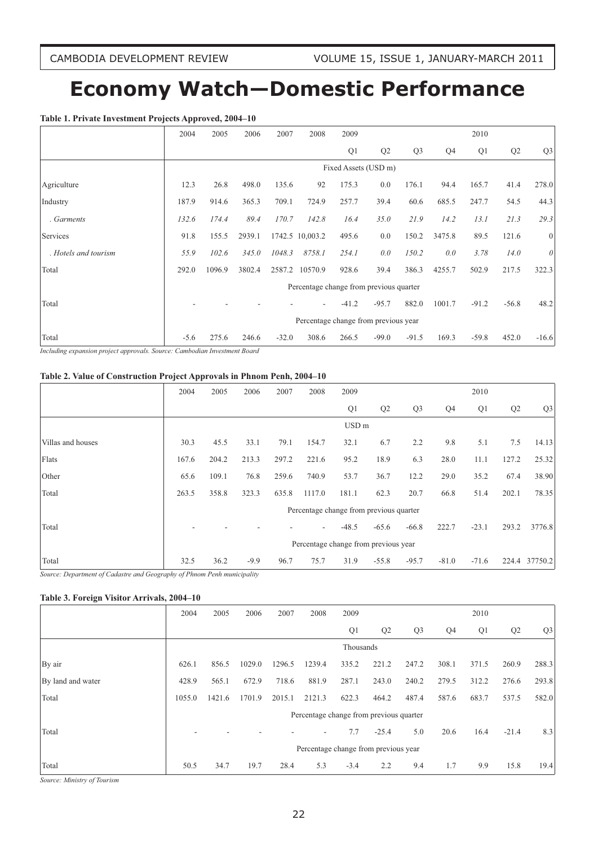# **Economy Watch—Domestic Performance**

#### **Table 1. Private Investment Projects Approved, 2004–10**

|                      | 2004   | 2005   | 2006   | 2007    | 2008                                    | 2009    |                      |                |        | 2010    |         |                |
|----------------------|--------|--------|--------|---------|-----------------------------------------|---------|----------------------|----------------|--------|---------|---------|----------------|
|                      |        |        |        |         |                                         | Q1      | Q <sub>2</sub>       | Q <sub>3</sub> | Q4     | Q1      | Q2      | Q <sub>3</sub> |
|                      |        |        |        |         |                                         |         | Fixed Assets (USD m) |                |        |         |         |                |
| Agriculture          | 12.3   | 26.8   | 498.0  | 135.6   | 92                                      | 175.3   | 0.0                  | 176.1          | 94.4   | 165.7   | 41.4    | 278.0          |
| Industry             | 187.9  | 914.6  | 365.3  | 709.1   | 724.9                                   | 257.7   | 39.4                 | 60.6           | 685.5  | 247.7   | 54.5    | 44.3           |
| . Garments           | 132.6  | 174.4  | 89.4   | 170.7   | 142.8                                   | 16.4    | 35.0                 | 21.9           | 14.2   | 13.1    | 21.3    | 29.3           |
| Services             | 91.8   | 155.5  | 2939.1 |         | 1742.5 10,003.2                         | 495.6   | 0.0                  | 150.2          | 3475.8 | 89.5    | 121.6   | $\mathbf{0}$   |
| . Hotels and tourism | 55.9   | 102.6  | 345.0  | 1048.3  | 8758.1                                  | 254.1   | 0.0                  | 150.2          | 0.0    | 3.78    | 14.0    | 0              |
| Total                | 292.0  | 1096.9 | 3802.4 | 2587.2  | 10570.9                                 | 928.6   | 39.4                 | 386.3          | 4255.7 | 502.9   | 217.5   | 322.3          |
|                      |        |        |        |         | Percentage change from previous quarter |         |                      |                |        |         |         |                |
| Total                |        |        |        |         |                                         | $-41.2$ | $-95.7$              | 882.0          | 1001.7 | $-91.2$ | $-56.8$ | 48.2           |
|                      |        |        |        |         | Percentage change from previous year    |         |                      |                |        |         |         |                |
| Total                | $-5.6$ | 275.6  | 246.6  | $-32.0$ | 308.6                                   | 266.5   | $-99.0$              | $-91.5$        | 169.3  | $-59.8$ | 452.0   | $-16.6$        |

*Including expansion project approvals. Source: Cambodian Investment Board*

#### **Table 2. Value of Construction Project Approvals in Phnom Penh, 2004–10**

|                   | 2004  | 2005  | 2006   | 2007  | 2008   | 2009                                    |                |                |         | 2010    |       |                |
|-------------------|-------|-------|--------|-------|--------|-----------------------------------------|----------------|----------------|---------|---------|-------|----------------|
|                   |       |       |        |       |        | Q <sub>1</sub>                          | Q <sub>2</sub> | Q <sub>3</sub> | Q4      | Q1      | Q2    | Q <sub>3</sub> |
|                   |       |       |        |       |        | USD <sub>m</sub>                        |                |                |         |         |       |                |
| Villas and houses | 30.3  | 45.5  | 33.1   | 79.1  | 154.7  | 32.1                                    | 6.7            | 2.2            | 9.8     | 5.1     | 7.5   | 14.13          |
| Flats             | 167.6 | 204.2 | 213.3  | 297.2 | 221.6  | 95.2                                    | 18.9           | 6.3            | 28.0    | 11.1    | 127.2 | 25.32          |
| Other             | 65.6  | 109.1 | 76.8   | 259.6 | 740.9  | 53.7                                    | 36.7           | 12.2           | 29.0    | 35.2    | 67.4  | 38.90          |
| Total             | 263.5 | 358.8 | 323.3  | 635.8 | 1117.0 | 181.1                                   | 62.3           | 20.7           | 66.8    | 51.4    | 202.1 | 78.35          |
|                   |       |       |        |       |        | Percentage change from previous quarter |                |                |         |         |       |                |
| Total             |       |       |        |       |        | $-48.5$                                 | $-65.6$        | $-66.8$        | 222.7   | $-23.1$ | 293.2 | 3776.8         |
|                   |       |       |        |       |        | Percentage change from previous year    |                |                |         |         |       |                |
| Total             | 32.5  | 36.2  | $-9.9$ | 96.7  | 75.7   | 31.9                                    | $-55.8$        | $-95.7$        | $-81.0$ | $-71.6$ | 224.4 | 37750.2        |

*Source: Department of Cadastre and Geography of Phnom Penh municipality*

#### **Table 3. Foreign Visitor Arrivals, 2004–10**

|                   | 2004   | 2005   | 2006   | 2007   | 2008                                    | 2009      |         |                |       | 2010  |                |                |
|-------------------|--------|--------|--------|--------|-----------------------------------------|-----------|---------|----------------|-------|-------|----------------|----------------|
|                   |        |        |        |        |                                         | Q1        | Q2      | Q <sub>3</sub> | Q4    | Q1    | Q <sub>2</sub> | Q <sub>3</sub> |
|                   |        |        |        |        |                                         | Thousands |         |                |       |       |                |                |
| By air            | 626.1  | 856.5  | 1029.0 | 1296.5 | 1239.4                                  | 335.2     | 221.2   | 247.2          | 308.1 | 371.5 | 260.9          | 288.3          |
| By land and water | 428.9  | 565.1  | 672.9  | 718.6  | 881.9                                   | 287.1     | 243.0   | 240.2          | 279.5 | 312.2 | 276.6          | 293.8          |
| Total             | 1055.0 | 1421.6 | 1701.9 | 2015.1 | 2121.3                                  | 622.3     | 464.2   | 487.4          | 587.6 | 683.7 | 537.5          | 582.0          |
|                   |        |        |        |        | Percentage change from previous quarter |           |         |                |       |       |                |                |
| Total             |        |        |        |        | ٠                                       | 7.7       | $-25.4$ | 5.0            | 20.6  | 16.4  | $-21.4$        | 8.3            |
|                   |        |        |        |        | Percentage change from previous year    |           |         |                |       |       |                |                |
| Total             | 50.5   | 34.7   | 19.7   | 28.4   | 5.3                                     | $-3.4$    | 2.2     | 9.4            | 1.7   | 9.9   | 15.8           | 19.4           |

*Source: Ministry of Tourism*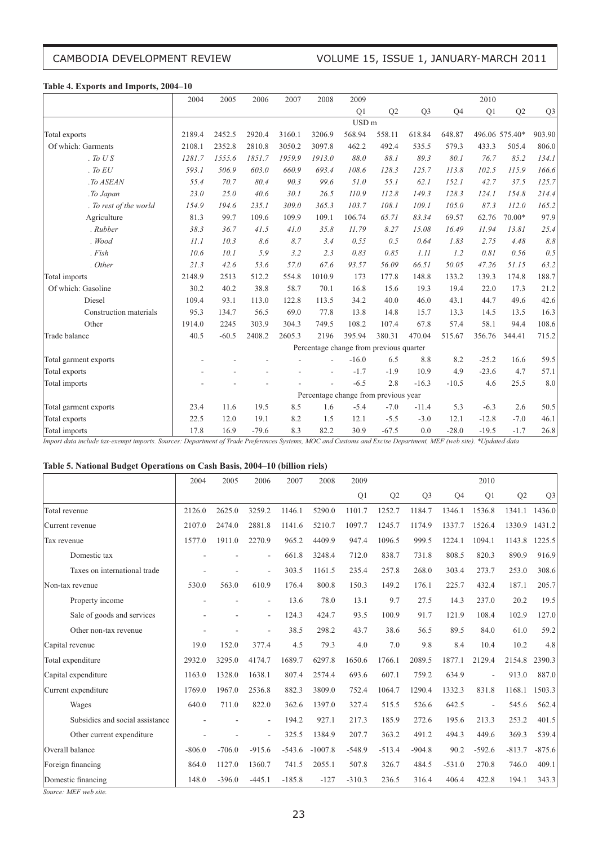# CAMBODIA DEVELOPMENT REVIEW VOLUME 15, ISSUE 1, JANUARY-MARCH 2011

#### **Table 4. Exports and Imports, 2004–10**

|                        | 2004<br>2005<br>2006<br>2007<br>2008<br>2009 |         |         |        |        |                  |                                         |                |         | 2010    |                |                |
|------------------------|----------------------------------------------|---------|---------|--------|--------|------------------|-----------------------------------------|----------------|---------|---------|----------------|----------------|
|                        |                                              |         |         |        |        | Q1               | Q <sub>2</sub>                          | Q <sub>3</sub> | Q4      | Q1      | Q2             | Q <sub>3</sub> |
|                        |                                              |         |         |        |        | USD <sub>m</sub> |                                         |                |         |         |                |                |
| Total exports          | 2189.4                                       | 2452.5  | 2920.4  | 3160.1 | 3206.9 | 568.94           | 558.11                                  | 618.84         | 648.87  |         | 496.06 575.40* | 903.90         |
| Of which: Garments     | 2108.1                                       | 2352.8  | 2810.8  | 3050.2 | 3097.8 | 462.2            | 492.4                                   | 535.5          | 579.3   | 433.3   | 505.4          | 806.0          |
| . To US                | 1281.7                                       | 1555.6  | 1851.7  | 1959.9 | 1913.0 | 88.0             | 88.1                                    | 89.3           | 80.1    | 76.7    | 85.2           | 134.1          |
| . To $EU$              | 593.1                                        | 506.9   | 603.0   | 660.9  | 693.4  | 108.6            | 128.3                                   | 125.7          | 113.8   | 102.5   | 115.9          | 166.6          |
| .To ASEAN              | 55.4                                         | 70.7    | 80.4    | 90.3   | 99.6   | 51.0             | 55.1                                    | 62.1           | 152.1   | 42.7    | 37.5           | 125.7          |
| .To Japan              | 23.0                                         | 25.0    | 40.6    | 30.1   | 26.5   | 110.9            | 112.8                                   | 149.3          | 128.3   | 124.1   | 154.8          | 214.4          |
| . To rest of the world | 154.9                                        | 194.6   | 235.1   | 309.0  | 365.3  | 103.7            | 108.1                                   | 109.1          | 105.0   | 87.3    | 112.0          | 165.2          |
| Agriculture            | 81.3                                         | 99.7    | 109.6   | 109.9  | 109.1  | 106.74           | 65.71                                   | 83.34          | 69.57   | 62.76   | 70.00*         | 97.9           |
| . Rubber               | 38.3                                         | 36.7    | 41.5    | 41.0   | 35.8   | 11.79            | 8.27                                    | 15.08          | 16.49   | 11.94   | 13.81          | 25.4           |
| . Wood                 | 11.1                                         | 10.3    | 8.6     | 8.7    | 3.4    | 0.55             | 0.5                                     | 0.64           | 1.83    | 2.75    | 4.48           | $8.8\,$        |
| Fish                   | 10.6                                         | 10.1    | 5.9     | 3.2    | 2.3    | 0.83             | 0.85                                    | 1.11           | 1.2     | 0.81    | 0.56           | 0.5            |
| . Other                | 21.3                                         | 42.6    | 53.6    | 57.0   | 67.6   | 93.57            | 56.09                                   | 66.51          | 50.05   | 47.26   | 51.15          | 63.2           |
| Total imports          | 2148.9                                       | 2513    | 512.2   | 554.8  | 1010.9 | 173              | 177.8                                   | 148.8          | 133.2   | 139.3   | 174.8          | 188.7          |
| Of which: Gasoline     | 30.2                                         | 40.2    | 38.8    | 58.7   | 70.1   | 16.8             | 15.6                                    | 19.3           | 19.4    | 22.0    | 17.3           | 21.2           |
| Diesel                 | 109.4                                        | 93.1    | 113.0   | 122.8  | 113.5  | 34.2             | 40.0                                    | 46.0           | 43.1    | 44.7    | 49.6           | 42.6           |
| Construction materials | 95.3                                         | 134.7   | 56.5    | 69.0   | 77.8   | 13.8             | 14.8                                    | 15.7           | 13.3    | 14.5    | 13.5           | 16.3           |
| Other                  | 1914.0                                       | 2245    | 303.9   | 304.3  | 749.5  | 108.2            | 107.4                                   | 67.8           | 57.4    | 58.1    | 94.4           | 108.6          |
| Trade balance          | 40.5                                         | $-60.5$ | 2408.2  | 2605.3 | 2196   | 395.94           | 380.31                                  | 470.04         | 515.67  | 356.76  | 344.41         | 715.2          |
|                        |                                              |         |         |        |        |                  | Percentage change from previous quarter |                |         |         |                |                |
| Total garment exports  |                                              |         |         |        |        | $-16.0$          | 6.5                                     | 8.8            | 8.2     | $-25.2$ | 16.6           | 59.5           |
| Total exports          |                                              |         |         |        |        | $-1.7$           | $-1.9$                                  | 10.9           | 4.9     | $-23.6$ | 4.7            | 57.1           |
| Total imports          |                                              |         |         |        |        | $-6.5$           | 2.8                                     | $-16.3$        | $-10.5$ | 4.6     | 25.5           | 8.0            |
|                        |                                              |         |         |        |        |                  | Percentage change from previous year    |                |         |         |                |                |
| Total garment exports  | 23.4                                         | 11.6    | 19.5    | 8.5    | 1.6    | $-5.4$           | $-7.0$                                  | $-11.4$        | 5.3     | $-6.3$  | 2.6            | 50.5           |
| Total exports          | 22.5                                         | 12.0    | 19.1    | 8.2    | 1.5    | 12.1             | $-5.5$                                  | $-3.0$         | 12.1    | $-12.8$ | $-7.0$         | 46.1           |
| Total imports          | 17.8                                         | 16.9    | $-79.6$ | 8.3    | 82.2   | 30.9             | $-67.5$                                 | 0.0            | $-28.0$ | $-19.5$ | $-1.7$         | 26.8           |

Import data include tax-exempt imports. Sources: Department of Trade Preferences Systems, MOC and Customs and Excise Department, MEF (web site). \*Updated data

#### **Table 5. National Budget Operations on Cash Basis, 2004–10 (billion riels)**

|                                 | 2004     | 2005     | 2006           | 2007     | 2008      | 2009           |                |                |          | 2010           |          |                |
|---------------------------------|----------|----------|----------------|----------|-----------|----------------|----------------|----------------|----------|----------------|----------|----------------|
|                                 |          |          |                |          |           | Q <sub>1</sub> | Q <sub>2</sub> | Q <sub>3</sub> | Q4       | Q <sub>1</sub> | Q2       | Q <sub>3</sub> |
| Total revenue                   | 2126.0   | 2625.0   | 3259.2         | 1146.1   | 5290.0    | 1101.7         | 1252.7         | 1184.7         | 1346.1   | 1536.8         | 1341.1   | 1436.0         |
| Current revenue                 | 2107.0   | 2474.0   | 2881.8         | 1141.6   | 5210.7    | 1097.7         | 1245.7         | 1174.9         | 1337.7   | 1526.4         | 1330.9   | 1431.2         |
| Tax revenue                     | 1577.0   | 1911.0   | 2270.9         | 965.2    | 4409.9    | 947.4          | 1096.5         | 999.5          | 1224.1   | 1094.1         | 1143.8   | 1225.5         |
| Domestic tax                    |          |          |                | 661.8    | 3248.4    | 712.0          | 838.7          | 731.8          | 808.5    | 820.3          | 890.9    | 916.9          |
| Taxes on international trade    |          |          | ٠              | 303.5    | 1161.5    | 235.4          | 257.8          | 268.0          | 303.4    | 273.7          | 253.0    | 308.6          |
| Non-tax revenue                 | 530.0    | 563.0    | 610.9          | 176.4    | 800.8     | 150.3          | 149.2          | 176.1          | 225.7    | 432.4          | 187.1    | 205.7          |
| Property income                 |          |          | ٠              | 13.6     | 78.0      | 13.1           | 9.7            | 27.5           | 14.3     | 237.0          | 20.2     | 19.5           |
| Sale of goods and services      |          |          | $\blacksquare$ | 124.3    | 424.7     | 93.5           | 100.9          | 91.7           | 121.9    | 108.4          | 102.9    | 127.0          |
| Other non-tax revenue           |          |          |                | 38.5     | 298.2     | 43.7           | 38.6           | 56.5           | 89.5     | 84.0           | 61.0     | 59.2           |
| Capital revenue                 | 19.0     | 152.0    | 377.4          | 4.5      | 79.3      | 4.0            | 7.0            | 9.8            | 8.4      | 10.4           | 10.2     | 4.8            |
| Total expenditure               | 2932.0   | 3295.0   | 4174.7         | 1689.7   | 6297.8    | 1650.6         | 1766.1         | 2089.5         | 1877.1   | 2129.4         | 2154.8   | 2390.3         |
| Capital expenditure             | 1163.0   | 1328.0   | 1638.1         | 807.4    | 2574.4    | 693.6          | 607.1          | 759.2          | 634.9    |                | 913.0    | 887.0          |
| Current expenditure             | 1769.0   | 1967.0   | 2536.8         | 882.3    | 3809.0    | 752.4          | 1064.7         | 1290.4         | 1332.3   | 831.8          | 1168.1   | 1503.3         |
| Wages                           | 640.0    | 711.0    | 822.0          | 362.6    | 1397.0    | 327.4          | 515.5          | 526.6          | 642.5    | ÷,             | 545.6    | 562.4          |
| Subsidies and social assistance |          |          | ٠              | 194.2    | 927.1     | 217.3          | 185.9          | 272.6          | 195.6    | 213.3          | 253.2    | 401.5          |
| Other current expenditure       |          |          |                | 325.5    | 1384.9    | 207.7          | 363.2          | 491.2          | 494.3    | 449.6          | 369.3    | 539.4          |
| Overall balance                 | $-806.0$ | $-706.0$ | $-915.6$       | $-543.6$ | $-1007.8$ | $-548.9$       | $-513.4$       | $-904.8$       | 90.2     | $-592.6$       | $-813.7$ | $-875.6$       |
| Foreign financing               | 864.0    | 1127.0   | 1360.7         | 741.5    | 2055.1    | 507.8          | 326.7          | 484.5          | $-531.0$ | 270.8          | 746.0    | 409.1          |
| Domestic financing              | 148.0    | $-396.0$ | $-445.1$       | $-185.8$ | $-127$    | $-310.3$       | 236.5          | 316.4          | 406.4    | 422.8          | 194.1    | 343.3          |

*Source: MEF web site.*